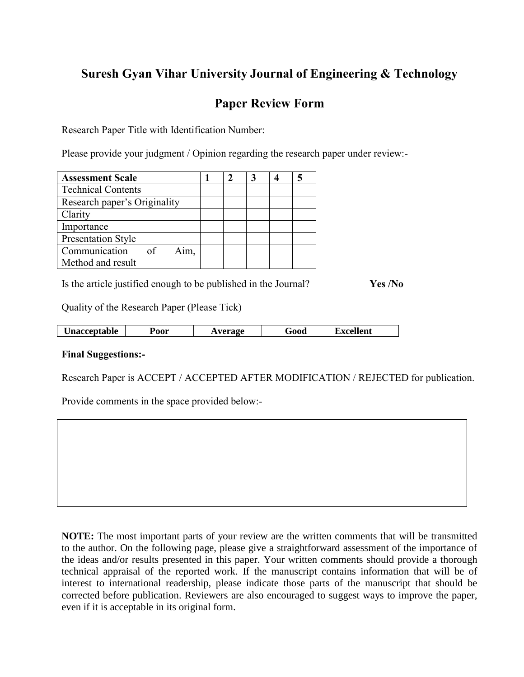## **Suresh Gyan Vihar University Journal of Engineering & Technology**

## **Paper Review Form**

Research Paper Title with Identification Number:

Please provide your judgment / Opinion regarding the research paper under review:-

| <b>Assessment Scale</b>                         |  |  |  |
|-------------------------------------------------|--|--|--|
| <b>Technical Contents</b>                       |  |  |  |
| Research paper's Originality                    |  |  |  |
| Clarity                                         |  |  |  |
| Importance                                      |  |  |  |
| <b>Presentation Style</b>                       |  |  |  |
| Communication<br>$\overline{\text{of}}$<br>Aim. |  |  |  |
| Method and result                               |  |  |  |

Is the article justified enough to be published in the Journal? **Yes /No**

Quality of the Research Paper (Please Tick)

| <b>Unacceptable</b> | Poor | Average | Good | Excellent |
|---------------------|------|---------|------|-----------|

## **Final Suggestions:-**

Research Paper is ACCEPT / ACCEPTED AFTER MODIFICATION / REJECTED for publication.

Provide comments in the space provided below:-

**NOTE:** The most important parts of your review are the written comments that will be transmitted to the author. On the following page, please give a straightforward assessment of the importance of the ideas and/or results presented in this paper. Your written comments should provide a thorough technical appraisal of the reported work. If the manuscript contains information that will be of interest to international readership, please indicate those parts of the manuscript that should be corrected before publication. Reviewers are also encouraged to suggest ways to improve the paper, even if it is acceptable in its original form.